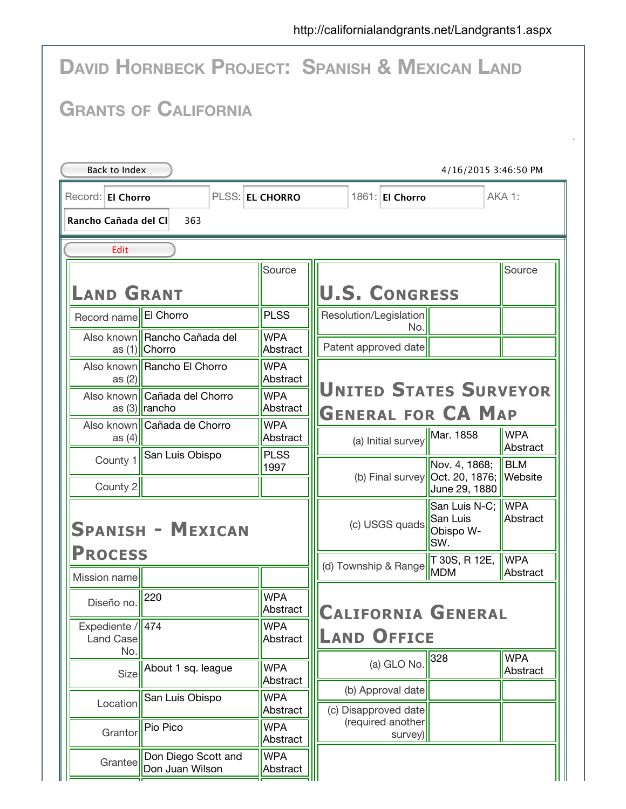|                                      | <b>DAVID HORNBECK PROJECT: SPANISH &amp; MEXICAN LAND</b> |                        |                                                            |                                                                    |                        |  |  |
|--------------------------------------|-----------------------------------------------------------|------------------------|------------------------------------------------------------|--------------------------------------------------------------------|------------------------|--|--|
|                                      | <b>GRANTS OF CALIFORNIA</b>                               |                        |                                                            |                                                                    |                        |  |  |
| Back to Index                        |                                                           |                        |                                                            | 4/16/2015 3:46:50 PM                                               |                        |  |  |
| Record: El Chorro                    |                                                           | PLSS: EL CHORRO        | 1861: El Chorro                                            |                                                                    | AKA 1:                 |  |  |
| Rancho Cañada del Cl                 | 363                                                       |                        |                                                            |                                                                    |                        |  |  |
| <b>Edit</b>                          |                                                           |                        |                                                            |                                                                    |                        |  |  |
| <b>LAND GRANT</b>                    |                                                           | Source                 | Source<br><b>U.S. CONGRESS</b>                             |                                                                    |                        |  |  |
| Record name                          | El Chorro                                                 | <b>PLSS</b>            | Resolution/Legislation                                     |                                                                    |                        |  |  |
|                                      | Also known Rancho Cañada del<br>as (1) Chorro             | <b>WPA</b><br>Abstract | No.<br>Patent approved date                                |                                                                    |                        |  |  |
| as $(2)$                             | Also known  Rancho El Chorro                              | <b>WPA</b><br>Abstract |                                                            |                                                                    |                        |  |  |
|                                      | Also known   Cañada del Chorro<br>as (3)  rancho          | <b>WPA</b><br>Abstract | <b>UNITED STATES SURVEYOR</b><br><b>GENERAL FOR CA MAP</b> |                                                                    |                        |  |  |
| as $(4)$                             | Also known   Cañada de Chorro                             | <b>WPA</b><br>Abstract | (a) Initial survey                                         | Mar. 1858                                                          | <b>WPA</b><br>Abstract |  |  |
| County 1<br>County 2                 | San Luis Obispo                                           | <b>PLSS</b><br>1997    | (b) Final survey $ Oct. 20. 1876;$                         | Nov. 4, 1868;                                                      | <b>BLM</b><br>Website  |  |  |
|                                      | <b>SPANISH - MEXICAN</b>                                  |                        | (c) USGS quads                                             | June 29, 1880<br>San Luis N-C; WPA<br>San Luis<br>Obispo W-<br>SW. | Abstract               |  |  |
| <b>PROCESS</b>                       |                                                           |                        | (d) Township & Range                                       | T 30S, R 12E,<br><b>MDM</b>                                        | <b>WPA</b><br>Abstract |  |  |
| Mission name<br>Diseño no.           | 220                                                       | <b>WPA</b><br>Abstract | <b>CALIFORNIA GENERAL</b>                                  |                                                                    |                        |  |  |
| Expediente / 474<br>Land Case<br>No. |                                                           | <b>WPA</b><br>Abstract | <b>LAND OFFICE</b>                                         |                                                                    |                        |  |  |
| Size                                 | About 1 sq. league                                        | <b>WPA</b><br>Abstract | (a) GLO No.                                                | 328                                                                | <b>WPA</b><br>Abstract |  |  |
| Location                             | San Luis Obispo                                           | <b>WPA</b><br>Abstract | (b) Approval date<br>(c) Disapproved date                  |                                                                    |                        |  |  |
| Grantor                              | Pio Pico                                                  | <b>WPA</b><br>Abstract | (required another<br>survey)                               |                                                                    |                        |  |  |
| Grantee                              | Don Diego Scott and<br>Don Juan Wilson                    | <b>WPA</b><br>Abstract |                                                            |                                                                    |                        |  |  |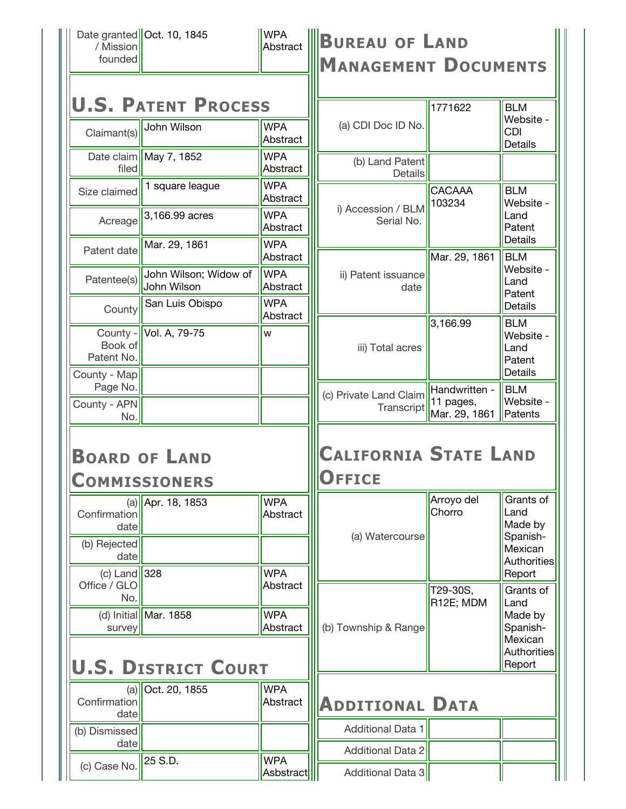| founded                                         | Date granted Oct. 10, 1845                                        | <b>WPA</b><br>Abstract  | <b>BUREAU OF LAND</b><br><b>MANAGEMENT DOCUMENTS</b> |                            |                                                                    |  |  |
|-------------------------------------------------|-------------------------------------------------------------------|-------------------------|------------------------------------------------------|----------------------------|--------------------------------------------------------------------|--|--|
|                                                 | <b>U.S. PATENT PROCESS</b>                                        |                         | (a) CDI Doc ID No.                                   | 1771622                    | <b>BLM</b><br>Website -                                            |  |  |
| Claimant(s)                                     | John Wilson                                                       | <b>WPA</b><br>Abstract  |                                                      |                            | <b>CDI</b><br><b>Details</b>                                       |  |  |
| filed                                           | Date claim   May 7, 1852                                          | <b>WPA</b><br>Abstract  | (b) Land Patent<br>Details                           |                            |                                                                    |  |  |
| Size claimed                                    | 1 square league                                                   | <b>WPA</b><br>Abstract  |                                                      | CACAAA<br>103234           | <b>BLM</b><br>Website -                                            |  |  |
| Acreage                                         | 3,166.99 acres                                                    | <b>WPA</b><br>Abstract  | i) Accession / BLM<br>Serial No.                     |                            | Land<br>Patent                                                     |  |  |
| Patent date                                     | Mar. 29, 1861                                                     | <b>WPA</b><br>Abstract  |                                                      | Mar. 29, 1861              | <b>Details</b><br><b>BLM</b><br>Website -<br>Land<br>Patent        |  |  |
| Patentee(s)                                     | John Wilson; Widow of<br>John Wilson                              | <b>WPA</b><br>Abstract  | ii) Patent issuance<br>date                          |                            |                                                                    |  |  |
| County                                          | San Luis Obispo                                                   | <b>WPA</b><br>Abstract  |                                                      | 3,166.99                   | <b>Details</b><br><b>BLM</b>                                       |  |  |
| Book of<br>Patent No.                           | County - Vol. A, 79-75                                            | W                       | iii) Total acres                                     |                            | Website -<br>Land<br>Patent<br><b>Details</b>                      |  |  |
| County - Map<br>Page No.                        |                                                                   |                         | (c) Private Land Claim                               | Handwritten -              | <b>BLM</b>                                                         |  |  |
| County - APN<br>No.                             |                                                                   |                         | Transcript                                           | 11 pages,<br>Mar. 29, 1861 | Website -<br>Patents                                               |  |  |
|                                                 |                                                                   |                         |                                                      |                            |                                                                    |  |  |
| Confirmation<br>date                            | <b>BOARD OF LAND</b><br><b>COMMISSIONERS</b><br>(a) Apr. 18, 1853 | <b>WPA</b><br>Abstract  | <b>CALIFORNIA STATE LAND</b><br><b>UFFICE</b>        | Arroyo del<br>Chorro       | Land<br>Made by                                                    |  |  |
| (b) Rejected<br>date                            |                                                                   |                         | (a) Watercourse                                      |                            | Mexican                                                            |  |  |
| (c) Land $\parallel$ 328<br>Office / GLO<br>No. |                                                                   | <b>WPA</b><br>Abstract  |                                                      | T29-30S,<br>R12E; MDM      | Report<br>Land                                                     |  |  |
| survey                                          | (d) Initial Mar. 1858                                             | <b>WPA</b><br>Abstract  | (b) Township & Range                                 |                            | Spanish-<br>Made by<br>Spanish-<br>Mexican<br>Report               |  |  |
| Confirmation<br>date                            | <b>U.S. DISTRICT COURT</b><br>$(a)$   Oct. 20, 1855               | <b>WPA</b><br>Abstract  | <b>ADDITIONAL DATA</b>                               |                            |                                                                    |  |  |
| (b) Dismissed                                   |                                                                   |                         | <b>Additional Data 1</b>                             |                            |                                                                    |  |  |
| date<br>(c) Case No.                            | 25 S.D.                                                           | <b>WPA</b><br>Asbstract | <b>Additional Data 2</b><br>Additional Data 3        |                            | Grants of<br><b>Authorities</b><br>Grants of<br><b>Authorities</b> |  |  |